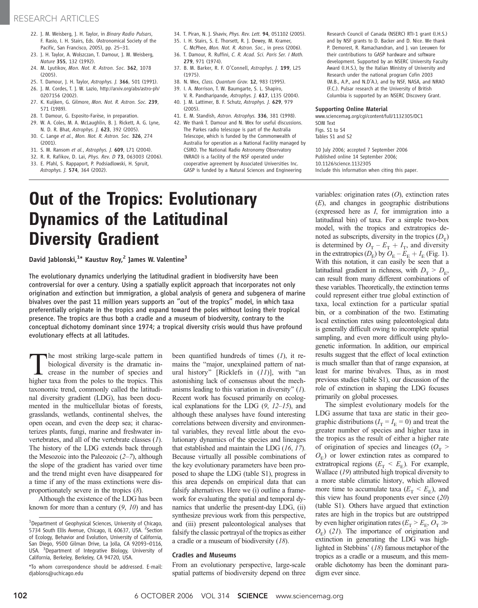# RESEARCH ARTICLES

- 22. J. M. Weisberg, J. H. Taylor, in Binary Radio Pulsars, F. Rasio, I. H. Stairs, Eds. (Astronomical Society of the Pacific, San Francisco, 2005), pp. 25–31.
- 23. J. H. Taylor, A. Wolszczan, T. Damour, J. M. Weisberg, Nature 355, 132 (1992).
- 24. M. Lyutikov, Mon. Not. R. Astron. Soc. 362, 1078 (2005).
- 25. T. Damour, J. H. Taylor, Astrophys. J. 366, 501 (1991).
- 26. J. M. Cordes, T. J. W. Lazio, http://arxiv.org/abs/astro-ph/ 0207156 (2002).
- 27. K. Kuijken, G. Gilmore, Mon. Not. R. Astron. Soc. 239, 571 (1989).
- 28. T. Damour, G. Esposito-Farèse, in preparation.
- 29. W. A. Coles, M. A. McLaughlin, B. J. Rickett, A. G. Lyne, N. D. R. Bhat, Astrophys. J. 623, 392 (2005). 30. C. Lange et al., Mon. Not. R. Astron. Soc. 326, 274
- (2001).
- 31. S. M. Ransom et al., Astrophys. J. 609, L71 (2004).
- 32. R. R. Rafikov, D. Lai, Phys. Rev. D 73, 063003 (2006).
- 33. E. Pfahl, S. Rappaport, P. Podsiadlowski, H. Spruit, Astrophys. J. 574, 364 (2002).
- 34. T. Piran, N. J. Shaviv, Phys. Rev. Lett. 94, 051102 (2005).
- 35. I. H. Stairs, S. E. Thorsett, R. J. Dewey, M. Kramer, C. McPhee, Mon. Not. R. Astron. Soc., in press (2006).
- 36. T. Damour, R. Ruffini, C. R. Acad. Sci. Paris Ser. I Math. 279, 971 (1974).
- 37. B. M. Barker, R. F. O'Connell, Astrophys. J. 199, L25 (1975).
- 38. N. Wex, Class. Quantum Grav. 12, 983 (1995).
- 39. I. A. Morrison, T. W. Baumgarte, S. L. Shapiro, V. R. Pandharipande, Astrophys. J. 617, L135 (2004).
- 40. J. M. Lattimer, B. F. Schutz, Astrophys. J. 629, 979 (2005).
- 41. E. M. Standish, Astron. Astrophys. 336, 381 (1998).
- 42. We thank T. Damour and N. Wex for useful discussions. The Parkes radio telescope is part of the Australia Telescope, which is funded by the Commonwealth of Australia for operation as a National Facility managed by CSIRO. The National Radio Astronomy Observatory (NRAO) is a facility of the NSF operated under cooperative agreement by Associated Universities Inc. GASP is funded by a Natural Sciences and Engineering

Research Council of Canada (NSERC) RTI-1 grant (I.H.S.) and by NSF grants to D. Backer and D. Nice. We thank P. Demorest, R. Ramachandran, and J. van Leeuwen for their contributions to GASP hardware and software development. Supported by an NSERC University Faculty Award (I.H.S.), by the Italian Ministry of University and Research under the national program Cofin 2003 (M.B., A.P., and N.D'A.), and by NSF, NASA, and NRAO (F.C.). Pulsar research at the University of British Columbia is supported by an NSERC Discovery Grant.

#### Supporting Online Material

www.sciencemag.org/cgi/content/full/1132305/DC1 SOM Text Figs. S1 to S4 Tables S1 and S2

10 July 2006; accepted 7 September 2006 Published online 14 September 2006; 10.1126/science.1132305 Include this information when citing this paper.

# Out of the Tropics: Evolutionary Dynamics of the Latitudinal Diversity Gradient

David Jablonski,<sup>1\*</sup> Kaustuv Roy,<sup>2</sup> James W. Valentine<sup>3</sup>

The evolutionary dynamics underlying the latitudinal gradient in biodiversity have been controversial for over a century. Using a spatially explicit approach that incorporates not only origination and extinction but immigration, a global analysis of genera and subgenera of marine bivalves over the past 11 million years supports an ''out of the tropics'' model, in which taxa preferentially originate in the tropics and expand toward the poles without losing their tropical presence. The tropics are thus both a cradle and a museum of biodversity, contrary to the conceptual dichotomy dominant since 1974; a tropical diversity crisis would thus have profound evolutionary effects at all latitudes.

The most striking large-scale pattern in biological diversity is the dramatic increase in the number of species and higher taxa from the poles to the tropics. This taxonomic trend, commonly called the latitudinal diversity gradient (LDG), has been documented in the multicellular biotas of forests, grasslands, wetlands, continental shelves, the open ocean, and even the deep sea; it characterizes plants, fungi, marine and freshwater invertebrates, and all of the vertebrate classes (1). The history of the LDG extends back through the Mesozoic into the Paleozoic  $(2-7)$ , although the slope of the gradient has varied over time and the trend might even have disappeared for a time if any of the mass extinctions were disproportionately severe in the tropics (8).

Although the existence of the LDG has been known for more than a century  $(9, 10)$  and has

been quantified hundreds of times  $(1)$ , it remains the "major, unexplained pattern of natural history" [Ricklefs in  $(11)$ ], with "an astonishing lack of consensus about the mechanisms leading to this variation in diversity"  $(1)$ . Recent work has focused primarily on ecological explanations for the LDG  $(9, 12-15)$ , and although these analyses have found interesting correlations between diversity and environmental variables, they reveal little about the evolutionary dynamics of the species and lineages that established and maintain the LDG (16, 17). Because virtually all possible combinations of the key evolutionary parameters have been proposed to shape the LDG (table S1), progress in this area depends on empirical data that can falsify alternatives. Here we (i) outline a framework for evaluating the spatial and temporal dynamics that underlie the present-day LDG, (ii) synthesize previous work from this perspective, and (iii) present paleontological analyses that falsify the classic portrayal of the tropics as either a cradle or a museum of biodiversity (18).

#### Cradles and Museums

From an evolutionary perspective, large-scale spatial patterns of biodiversity depend on three variables: origination rates  $(O)$ , extinction rates  $(E)$ , and changes in geographic distributions (expressed here as I, for immigration into a latitudinal bin) of taxa. For a simple two-box model, with the tropics and extratropics denoted as subscripts, diversity in the tropics  $(D<sub>T</sub>)$ is determined by  $O_T - E_T + I_T$ , and diversity in the extratropics  $(D_{\rm E})$  by  $O_{\rm E}-\dot{E}_{\rm E}+I_{\rm E}$  (Fig. 1). With this notation, it can easily be seen that a latitudinal gradient in richness, with  $D_T > D_E$ , can result from many different combinations of these variables. Theoretically, the extinction terms could represent either true global extinction of taxa, local extinction for a particular spatial bin, or a combination of the two. Estimating local extinction rates using paleontological data is generally difficult owing to incomplete spatial sampling, and even more difficult using phylogenetic information. In addition, our empirical results suggest that the effect of local extinction is much smaller than that of range expansion, at least for marine bivalves. Thus, as in most previous studies (table S1), our discussion of the role of extinction in shaping the LDG focuses primarily on global processes.

The simplest evolutionary models for the LDG assume that taxa are static in their geographic distributions ( $I_T = I_E = 0$ ) and treat the greater number of species and higher taxa in the tropics as the result of either a higher rate of origination of species and lineages ( $O<sub>T</sub>$  >  $O<sub>E</sub>$ ) or lower extinction rates as compared to extratropical regions ( $E_T < E_E$ ). For example, Wallace (19) attributed high tropical diversity to a more stable climatic history, which allowed more time to accumulate taxa ( $E<sub>T</sub> < E<sub>E</sub>$ ), and this view has found proponents ever since (20) (table S1). Others have argued that extinction rates are high in the tropics but are outstripped by even higher origination rates ( $E_T > E_E$ ,  $O_T \gg$  $O<sub>E</sub>$ ) (21). The importance of origination and extinction in generating the LDG was highlighted in Stebbins' (18) famous metaphor of the tropics as a cradle or a museum, and this memorable dichotomy has been the dominant paradigm ever since.

<sup>&</sup>lt;sup>1</sup>Department of Geophysical Sciences, University of Chicago, 5734 South Ellis Avenue, Chicago, IL 60637, USA. <sup>2</sup>Section of Ecology, Behavior and Evolution, University of California, San Diego, 9500 Gilman Drive, La Jolla, CA 92093–0116, USA. <sup>3</sup>Department of Integrative Biology, University of California, Berkeley, Berkeley, CA 94720, USA.

<sup>\*</sup>To whom correspondence should be addressed. E-mail: djablons@uchicago.edu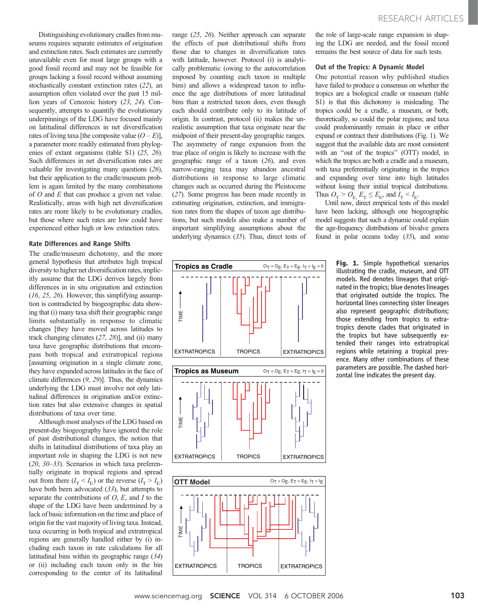Distinguishing evolutionary cradles from museums requires separate estimates of origination and extinction rates. Such estimates are currently unavailable even for most large groups with a good fossil record and may not be feasible for groups lacking a fossil record without assuming stochastically constant extinction rates (22), an assumption often violated over the past 15 million years of Cenozoic history (23, 24). Consequently, attempts to quantify the evolutionary underpinnings of the LDG have focused mainly on latitudinal differences in net diversification rates of living taxa [the composite value  $(O - E)$ ], a parameter more readily estimated from phylogenies of extant organisms (table S1) (25, 26). Such differences in net diversification rates are valuable for investigating many questions (26), but their application to the cradle/museum problem is again limited by the many combinations of O and E that can produce a given net value. Realistically, areas with high net diversification rates are more likely to be evolutionary cradles, but those where such rates are low could have experienced either high or low extinction rates.

## Rate Differences and Range Shifts

The cradle/museum dichotomy, and the more general hypothesis that attributes high tropical diversity to higher net diversification rates, implicitly assume that the LDG derives largely from differences in in situ origination and extinction (16, 25, 26). However, this simplifying assumption is contradicted by biogeographic data showing that (i) many taxa shift their geographic range limits substantially in response to climatic changes [they have moved across latitudes to track changing climates  $(27, 28)$ ], and (ii) many taxa have geographic distributions that encompass both tropical and extratropical regions [assuming origination in a single climate zone, they have expanded across latitudes in the face of climate differences (9, 29)]. Thus, the dynamics underlying the LDG must involve not only latitudinal differences in origination and/or extinction rates but also extensive changes in spatial distributions of taxa over time.

Although most analyses of the LDG based on present-day biogeography have ignored the role of past distributional changes, the notion that shifts in latitudinal distributions of taxa play an important role in shaping the LDG is not new (20, 30–33). Scenarios in which taxa preferentially originate in tropical regions and spread out from there  $(I_T < I_F)$  or the reverse  $(I_T > I_F)$ have both been advocated (33), but attempts to separate the contributions of  $O$ ,  $E$ , and  $I$  to the shape of the LDG have been undermined by a lack of basic information on the time and place of origin for the vast majority of living taxa. Instead, taxa occurring in both tropical and extratropical regions are generally handled either by (i) including each taxon in rate calculations for all latitudinal bins within its geographic range (34) or (ii) including each taxon only in the bin corresponding to the center of its latitudinal

range (25, 26). Neither approach can separate the effects of past distributional shifts from those due to changes in diversification rates with latitude, however. Protocol (i) is analytically problematic (owing to the autocorrelation imposed by counting each taxon in multiple bins) and allows a widespread taxon to influence the age distributions of more latitudinal bins than a restricted taxon does, even though each should contribute only to its latitude of origin. In contrast, protocol (ii) makes the unrealistic assumption that taxa originate near the midpoint of their present-day geographic ranges. The asymmetry of range expansion from the true place of origin is likely to increase with the geographic range of a taxon  $(26)$ , and even narrow-ranging taxa may abandon ancestral distributions in response to large climatic changes such as occurred during the Pleistocene (27). Some progress has been made recently in estimating origination, extinction, and immigration rates from the shapes of taxon age distributions, but such models also make a number of important simplifying assumptions about the underlying dynamics (35). Thus, direct tests of







the role of large-scale range expansion in shaping the LDG are needed, and the fossil record remains the best source of data for such tests.

### Out of the Tropics: A Dynamic Model

One potential reason why published studies have failed to produce a consensus on whether the tropics are a biological cradle or museum (table S1) is that this dichotomy is misleading. The tropics could be a cradle, a museum, or both; theoretically, so could the polar regions; and taxa could predominantly remain in place or either expand or contract their distributions (Fig. 1). We suggest that the available data are most consistent with an ''out of the tropics'' (OTT) model, in which the tropics are both a cradle and a museum, with taxa preferentially originating in the tropics and expanding over time into high latitudes without losing their initial tropical distributions. Thus  $O_T > O_{E_L} E_T \le E_E$ , and  $I_T < I_E$ .

Until now, direct empirical tests of this model have been lacking, although one biogeographic model suggests that such a dynamic could explain the age-frequency distributions of bivalve genera found in polar oceans today (35), and some

> Fig. 1. Simple hypothetical scenarios illustrating the cradle, museum, and OTT models. Red denotes lineages that originated in the tropics; blue denotes lineages that originated outside the tropics. The horizontal lines connecting sister lineages also represent geographic distributions; those extending from tropics to extratropics denote clades that originated in the tropics but have subsequently extended their ranges into extratropical regions while retaining a tropical presence. Many other combinations of these parameters are possible. The dashed horizontal line indicates the present day.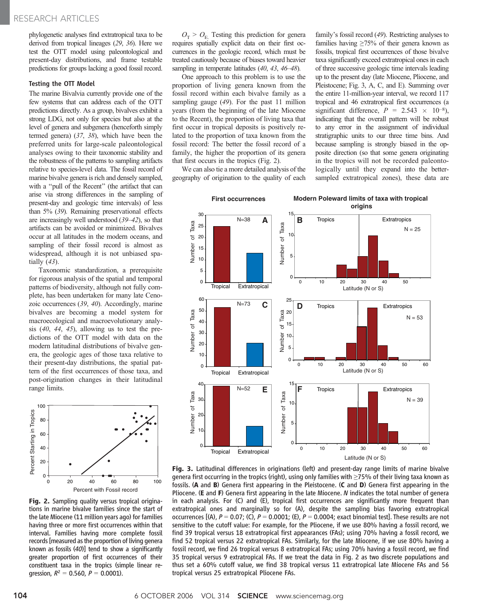phylogenetic analyses find extratropical taxa to be derived from tropical lineages (29, 36). Here we test the OTT model using paleontological and present-day distributions, and frame testable predictions for groups lacking a good fossil record.

### Testing the OTT Model

The marine Bivalvia currently provide one of the few systems that can address each of the OTT predictions directly. As a group, bivalves exhibit a strong LDG, not only for species but also at the level of genera and subgenera (henceforth simply termed genera) (37, 38), which have been the preferred units for large-scale paleontological analyses owing to their taxonomic stability and the robustness of the patterns to sampling artifacts relative to species-level data. The fossil record of marine bivalve genera is rich and densely sampled, with a "pull of the Recent" (the artifact that can arise via strong differences in the sampling of present-day and geologic time intervals) of less than 5% (39). Remaining preservational effects are increasingly well understood (39–42), so that artifacts can be avoided or minimized. Bivalves occur at all latitudes in the modern oceans, and sampling of their fossil record is almost as widespread, although it is not unbiased spatially  $(43)$ .

Taxonomic standardization, a prerequisite for rigorous analysis of the spatial and temporal patterns of biodiversity, although not fully complete, has been undertaken for many late Cenozoic occurrences (39, 40). Accordingly, marine bivalves are becoming a model system for macroecological and macroevolutionary analysis  $(40, 44, 45)$ , allowing us to test the predictions of the OTT model with data on the modern latitudinal distributions of bivalve genera, the geologic ages of those taxa relative to their present-day distributions, the spatial pattern of the first occurrences of those taxa, and post-origination changes in their latitudinal range limits.



Fig. 2. Sampling quality versus tropical originations in marine bivalve families since the start of the late Miocene (11 million years ago) for families having three or more first occurrences within that interval. Families having more complete fossil records [measured as the proportion of living genera known as fossils  $(40)$ ] tend to show a significantly greater proportion of first occurrences of their constituent taxa in the tropics (simple linear regression,  $R^2 = 0.560$ ,  $P = 0.0001$ ).

 $O<sub>T</sub> > O<sub>E</sub>$  Testing this prediction for genera requires spatially explicit data on their first occurrences in the geologic record, which must be treated cautiously because of biases toward heavier sampling in temperate latitudes (40, 43, 46–48).

One approach to this problem is to use the proportion of living genera known from the fossil record within each bivalve family as a sampling gauge (49). For the past 11 million years (from the beginning of the late Miocene to the Recent), the proportion of living taxa that first occur in tropical deposits is positively related to the proportion of taxa known from the fossil record: The better the fossil record of a family, the higher the proportion of its genera that first occurs in the tropics (Fig. 2).

We can also tie a more detailed analysis of the geography of origination to the quality of each family's fossil record (49). Restricting analyses to families having  $\geq 75\%$  of their genera known as fossils, tropical first occurrences of those bivalve taxa significantly exceed extratropical ones in each of three successive geologic time intervals leading up to the present day (late Miocene, Pliocene, and Pleistocene; Fig. 3, A, C, and E). Summing over the entire 11-million-year interval, we record 117 tropical and 46 extratropical first occurrences (a significant difference,  $P = 2.543 \times 10^{-8}$ ), indicating that the overall pattern will be robust to any error in the assignment of individual stratigraphic units to our three time bins. And because sampling is strongly biased in the opposite direction (so that some genera originating in the tropics will not be recorded paleontologically until they expand into the bettersampled extratropical zones), these data are



Fig. 3. Latitudinal differences in originations (left) and present-day range limits of marine bivalve genera first occurring in the tropics (right), using only families with Q75% of their living taxa known as fossils. (A and B) Genera first appearing in the Pleistocene. (C and D) Genera first appearing in the Pliocene. (E and F) Genera first appearing in the late Miocene. N indicates the total number of genera in each analysis. For (C) and (E), tropical first occurrences are significantly more frequent than extratropical ones and marginally so for (A), despite the sampling bias favoring extratropical occurrences [(A),  $P = 0.07$ ; (C),  $P = 0.0001$ ; (E),  $P = 0.0004$ ; exact binomial test]. These results are not sensitive to the cutoff value: For example, for the Pliocene, if we use 80% having a fossil record, we find 39 tropical versus 18 extratropical first appearances (FAs); using 70% having a fossil record, we find 52 tropical versus 22 extratropical FAs. Similarly, for the late Miocene, if we use 80% having a fossil record, we find 26 tropical versus 8 extratropical FAs; using 70% having a fossil record, we find 35 tropical versus 9 extratropical FAs. If we treat the data in Fig. 2 as two discrete populations and thus set a 60% cutoff value, we find 38 tropical versus 11 extratropical late Miocene FAs and 56 tropical versus 25 extratropical Pliocene FAs.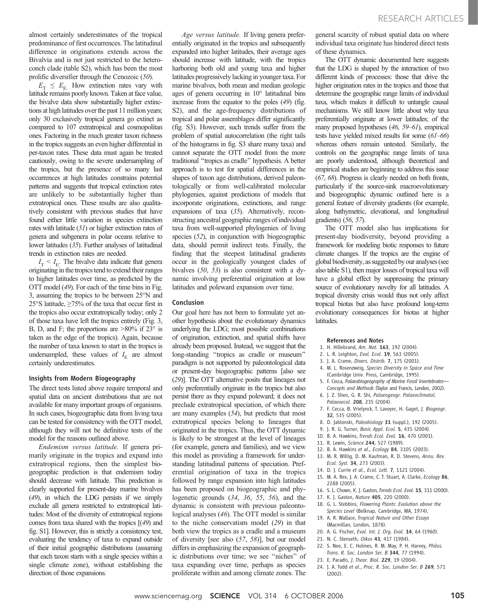almost certainly underestimates of the tropical predominance of first occurrences. The latitudinal difference in originations extends across the Bivalvia and is not just restricted to the heteroconch clade (table S2), which has been the most prolific diversifier through the Cenozoic (50).

 $E<sub>T</sub> \le E<sub>E</sub>$  How extinction rates vary with latitude remains poorly known. Taken at face value, the bivalve data show substantially higher extinctions at high latitudes over the past 11 million years; only 30 exclusively tropical genera go extinct as compared to 107 extratropical and cosmopolitan ones. Factoring in the much greater taxon richness in the tropics suggests an even higher differential in per-taxon rates. These data must again be treated cautiously, owing to the severe undersampling of the tropics, but the presence of so many last occurrences at high latitudes constrains potential patterns and suggests that tropical extinction rates are unlikely to be substantially higher than extratropical ones. These results are also qualitatively consistent with previous studies that have found either little variation in species extinction rates with latitude (51) or higher extinction rates of genera and subgenera in polar oceans relative to lower latitudes (35). Further analyses of latitudinal trends in extinction rates are needed.

 $I<sub>T</sub> < I<sub>E</sub>$ . The bivalve data indicate that genera originating in the tropics tend to extend their ranges to higher latitudes over time, as predicted by the OTT model (49). For each of the time bins in Fig. 3, assuming the tropics to be between  $25^{\circ}$ N and  $25^{\circ}$ S latitude,  $\geq 75\%$  of the taxa that occur first in the tropics also occur extratropically today; only 2 of those taxa have left the tropics entirely (Fig. 3, B, D, and F; the proportions are  $>80\%$  if 23 $\degree$  is taken as the edge of the tropics). Again, because the number of taxa known to start in the tropics is undersampled, these values of  $I_{\rm E}$  are almost certainly underestimates.

#### Insights from Modern Biogeography

The direct tests listed above require temporal and spatial data on ancient distributions that are not available for many important groups of organisms. In such cases, biogeographic data from living taxa can be tested for consistency with the OTT model, although they will not be definitive tests of the model for the reasons outlined above.

Endemism versus latitude. If genera primarily originate in the tropics and expand into extratropical regions, then the simplest biogeographic prediction is that endemism today should decrease with latitude. This prediction is clearly supported for present-day marine bivalves (49), in which the LDG persists if we simply exclude all genera restricted to extratropical latitudes: Most of the diversity of extratropical regions comes from taxa shared with the tropics [(49) and fig. S1]. However, this is strictly a consistency test, evaluating the tendency of taxa to expand outside of their initial geographic distributions (assuming that each taxon starts with a single species within a single climate zone), without establishing the direction of those expansions.

Age versus latitude. If living genera preferentially originated in the tropics and subsequently expanded into higher latitudes, their average ages should increase with latitude, with the tropics harboring both old and young taxa and higher latitudes progressively lacking in younger taxa. For marine bivalves, both mean and median geologic ages of genera occurring in  $10^{\circ}$  latitudinal bins increase from the equator to the poles (49) (fig. S2), and the age-frequency distributions of tropical and polar assemblages differ significantly (fig. S3). However, such trends suffer from the problem of spatial autocorrelation (the right tails of the histograms in fig. S3 share many taxa) and cannot separate the OTT model from the more traditional ''tropics as cradle'' hypothesis. A better approach is to test for spatial differences in the shapes of taxon age distributions, derived paleontologically or from well-calibrated molecular phylogenies, against predictions of models that incorporate originations, extinctions, and range expansions of taxa (35). Alternatively, reconstructing ancestral geographic ranges of individual taxa from well-supported phylogenies of living species (52), in conjunction with biogeographic data, should permit indirect tests. Finally, the finding that the steepest latitudinal gradients occur in the geologically youngest clades of bivalves (50, 53) is also consistent with a dynamic involving preferential origination at low latitudes and poleward expansion over time.

#### Conclusion

Our goal here has not been to formulate yet another hypothesis about the evolutionary dynamics underlying the LDG; most possible combinations of origination, extinction, and spatial shifts have already been proposed. Instead, we suggest that the long-standing ''tropics as cradle or museum'' paradigm is not supported by paleontological data or present-day biogeographic patterns [also see (29)]. The OTT alternative posits that lineages not only preferentially originate in the tropics but also persist there as they expand poleward; it does not preclude extratropical speciation, of which there are many examples (54), but predicts that most extratropical species belong to lineages that originated in the tropics. Thus, the OTT dynamic is likely to be strongest at the level of lineages (for example, genera and families), and we view this model as providing a framework for understanding latitudinal patterns of speciation. Preferential origination of taxa in the tropics followed by range expansion into high latitudes has been proposed on biogeographic and phylogenetic grounds (34, 36, 55, 56), and the dynamic is consistent with previous paleontological analyses (46). The OTT model is similar to the niche conservatism model (29) in that both view the tropics as a cradle and a museum of diversity [see also (57, 58)], but our model differs in emphasizing the expansion of geographic distributions over time; we see ''niches'' of taxa expanding over time, perhaps as species proliferate within and among climate zones. The

general scarcity of robust spatial data on where individual taxa originate has hindered direct tests of these dynamics.

The OTT dynamic documented here suggests that the LDG is shaped by the interaction of two different kinds of processes: those that drive the higher origination rates in the tropics and those that determine the geographic range limits of individual taxa, which makes it difficult to untangle causal mechanisms. We still know little about why taxa preferentially originate at lower latitudes; of the many proposed hypotheses (46, 59–61), empirical tests have yielded mixed results for some (61–66) whereas others remain untested. Similarly, the controls on the geographic range limits of taxa are poorly understood, although theoretical and empirical studies are beginning to address this issue (67, 68). Progress is clearly needed on both fronts, particularly if the source-sink macroevolutionary and biogeographic dynamic outlined here is a general feature of diversity gradients (for example, along bathymetric, elevational, and longitudinal gradients) (56, 57).

The OTT model also has implications for present-day biodiversity, beyond providing a framework for modeling biotic responses to future climate changes. If the tropics are the engine of global biodiversity, as suggested by our analyses (see also table S1), then major losses of tropical taxa will have a global effect by suppressing the primary source of evolutionary novelty for all latitudes. A tropical diversity crisis would thus not only affect tropical biotas but also have profound long-term evolutionary consequences for biotas at higher latitudes.

#### References and Notes

- 1. H. Hillebrand, Am. Nat. 163, 192 (2004).
- 2. L. R. Leighton, Evol. Ecol. 19, 563 (2005).
- 3. J. A. Crame, Divers. Distrib. 7, 175 (2001).
- 4. M. L. Rosenzweig, Species Diversity in Space and Time (Cambridge Univ. Press, Cambridge, 1995).
- 5. F. Cecca, Palaeobiogeography of Marine Fossil Invertebrates— Concepts and Methods (Taylor and Francis, London, 2002).
- 6. J. Z. Shen, G. R. Shi, Palaeogeogr. Palaeoclimatol. Palaeoecol. 208, 235 (2004).
- 7. F. Cecca, B. Vrielynck, T. Lavoyer, H. Gaget, J. Biogeogr. 32, 535 (2005).
- 8. D. Jablonski, Paleobiology 31 (suppl.), 192 (2005).
- 9. J. R. G. Turner, Basic Appl. Ecol. 5, 435 (2004).
- 10. B. A. Hawkins, Trends Ecol. Evol. 16, 470 (2001).
- 11. R. Lewin, Science 244, 527 (1989).
- 12. B. A. Hawkins et al., Ecology 84, 3105 (2003). 13. M. R. Willig, D. M. Kaufman, R. D. Stevens, Annu. Rev.
- Ecol. Syst. 34, 273 (2003).
- 14. D. J. Currie et al., Ecol. Lett. 7, 1121 (2004).
- 15. M. A. Rex, J. A. Crame, C. T. Stuart, A. Clarke, Ecology 86, 2288 (2005).
- 16. S. L. Chown, K. J. Gaston, Trends Ecol. Evol. 15, 311 (2000).
- 17. K. J. Gaston, Nature 405, 220 (2000).
- 18. G. L. Stebbins, Flowering Plants: Evolution above the Species Level (Belknap, Cambridge, MA, 1974).
- 19. A. R. Wallace, Tropical Nature and Other Essays
- (Macmillan, London, 1878). 20. A. G. Fischer, Evol. Int. I. Ora. Evol. 14, 64 (1960).
- 21. N. C. Stenseth, Oikos 43, 417 (1984).
- 22. S. Nee, E. C. Holmes, R. M. May, P. H. Harvey, Philos.
- Trans. R. Soc. London Ser. B 344, 77 (1994). 23. E. Paradis, J. Theor. Biol. 229, 19 (2004).
- 
- 24. J. A. Todd et al., Proc. R. Soc. London Ser. B 269, 571 (2002).